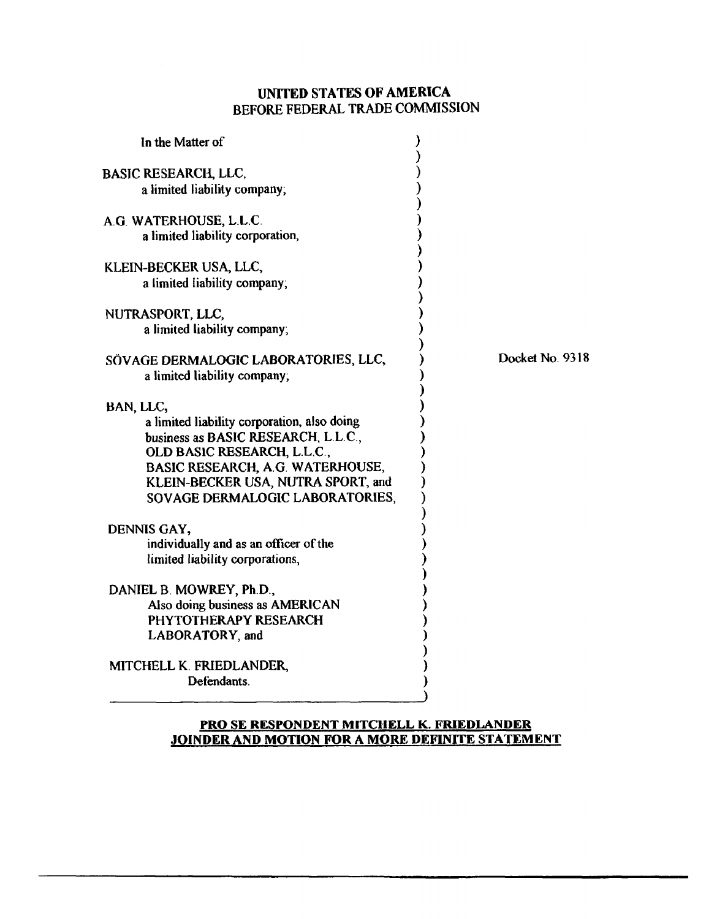## **UNITED STATES OF AMERICA BEFORE FEDERAL TRADE COMMISSION**

| In the Matter of                                                                                     |                 |
|------------------------------------------------------------------------------------------------------|-----------------|
| BASIC RESEARCH, LLC,                                                                                 |                 |
| a limited liability company;                                                                         |                 |
| A.G. WATERHOUSE, L.L.C.                                                                              |                 |
| a limited liability corporation,                                                                     |                 |
| KLEIN-BECKER USA, LLC,                                                                               |                 |
| a limited liability company;                                                                         |                 |
| NUTRASPORT, LLC,                                                                                     |                 |
| a limited liability company;                                                                         |                 |
| SÖVAGE DERMALOGIC LABORATORIES, LLC,                                                                 | Docket No. 9318 |
| a limited liability company,                                                                         |                 |
| BAN, LLC,                                                                                            |                 |
| a limited liability corporation, also doing                                                          |                 |
| business as BASIC RESEARCH, L.L.C.,<br>OLD BASIC RESEARCH, L.L.C.,                                   |                 |
| BASIC RESEARCH, A.G. WATERHOUSE,                                                                     |                 |
| KLEIN-BECKER USA, NUTRA SPORT, and                                                                   |                 |
| SOVAGE DERMALOGIC LABORATORIES,                                                                      |                 |
| DENNIS GAY,                                                                                          |                 |
| individually and as an officer of the                                                                |                 |
| limited liability corporations,                                                                      |                 |
| DANIEL B. MOWREY, Ph.D.,                                                                             |                 |
| Also doing business as AMERICAN                                                                      |                 |
| PHYTOTHERAPY RESEARCH                                                                                |                 |
| LABORATORY, and                                                                                      |                 |
| MITCHELL K. FRIEDLANDER,                                                                             |                 |
| Defendants.                                                                                          |                 |
|                                                                                                      |                 |
| <b>PRO SE RESPONDENT MITCHELL K. FRIEDLANDER</b><br>JOINDER AND MOTION FOR A MORE DEFINITE STATEMENT |                 |
|                                                                                                      |                 |
|                                                                                                      |                 |
|                                                                                                      |                 |
|                                                                                                      |                 |
|                                                                                                      |                 |
|                                                                                                      |                 |
|                                                                                                      |                 |

## **PRO SE RESPONDENT MITCHELL K. FRIEDIANDER**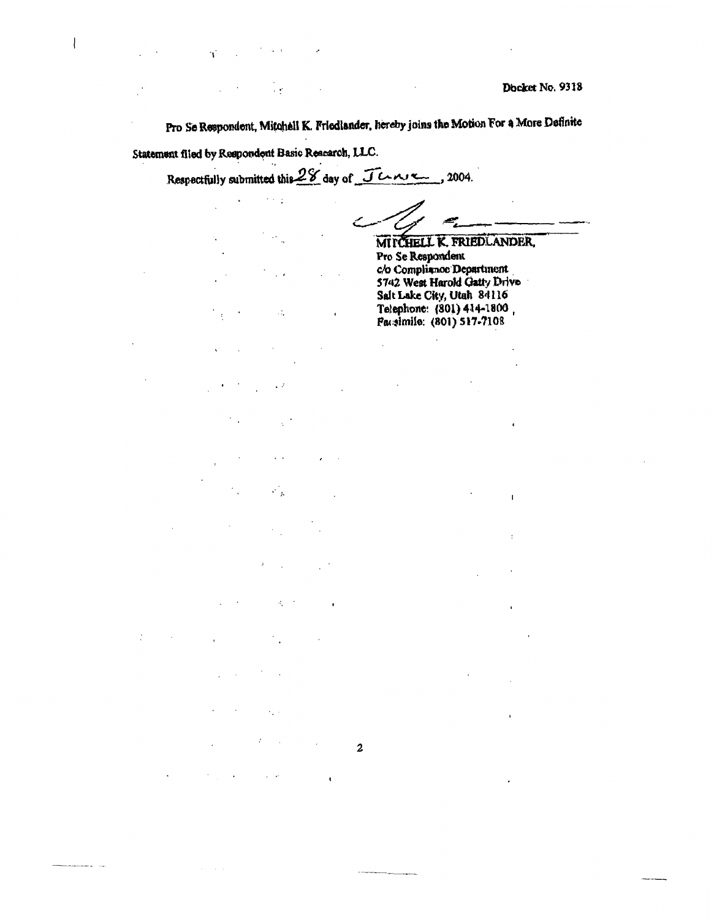Pro Se Respondent, Mitchell K. Friedlander, hereby joins the Motion For a More Definite Statement filed by Respondent Basic Reacarch, LLC.

Respectfully submitted this 28 day of Jenne, 2004.

 $\cdot$ 

 $\ddot{\phantom{a}}$ 

 $\ddotsc$ 

 $\cdot$  y

 $\sim$   $\sim$   $\,$ 

 $\ddot{\cdot}$ 

 $\sim$   $\lambda$ 

 $\overline{\phantom{a}}$ 

 $\mathcal{L}_{\mathcal{A}}$ 

 $\overline{\phantom{a}}$ 

 $\mathcal{L}_1$ 

 $\epsilon_{\star}$  .

 $\mathcal{L}_{\mathcal{A}}$ 

 $\mathbf{I}$ 

 $\overline{\mathbf{c}}$ 

 $\cdot$ 

 $\ddot{\phantom{a}}$ 

l.

 $\overline{\mathcal{L}}$ 

 $\ddot{\phantom{a}}$ 

 $\overline{\phantom{a}}$ 

 $\cdot$ 

للمستعد

 $\bar{\phantom{a}}$ 

 $\ddot{\phantom{a}}$ 

 $\mathcal{L}_{\mathcal{L}}=\mathcal{L}_{\mathcal{L}}/\mathcal{L}$ 

 $\bar{z}$ 

 $\epsilon$ 

 $\overline{1}$ 

ï

MITCHELL K. FRIEDLANDER, Pro Se Respondent c/o Compliance Department 5742 West Harold Gatty Drive Salt Lake City, Utah 84116 Telephone: (301) 414-1800, Pacelmile: (801) 517-7108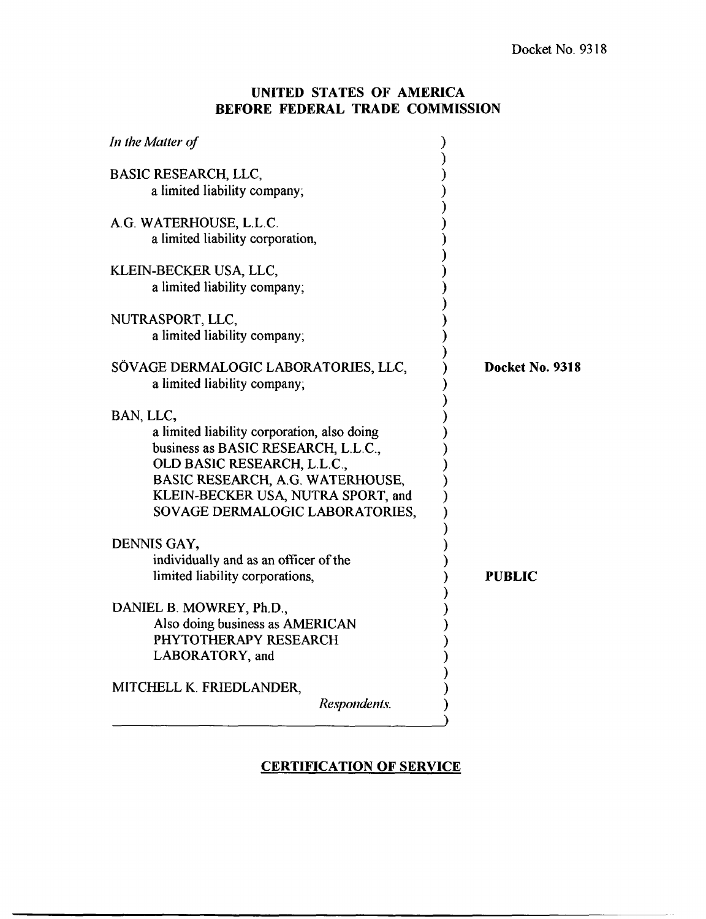## **UNITED STATES OF AMERICA BEFORE FEDERAL TRADE COMMISSION**

| Docket No. 9318 |
|-----------------|
|                 |
| PUBLIC          |
|                 |
|                 |

## **CERTIFICATION OF SERVICE**